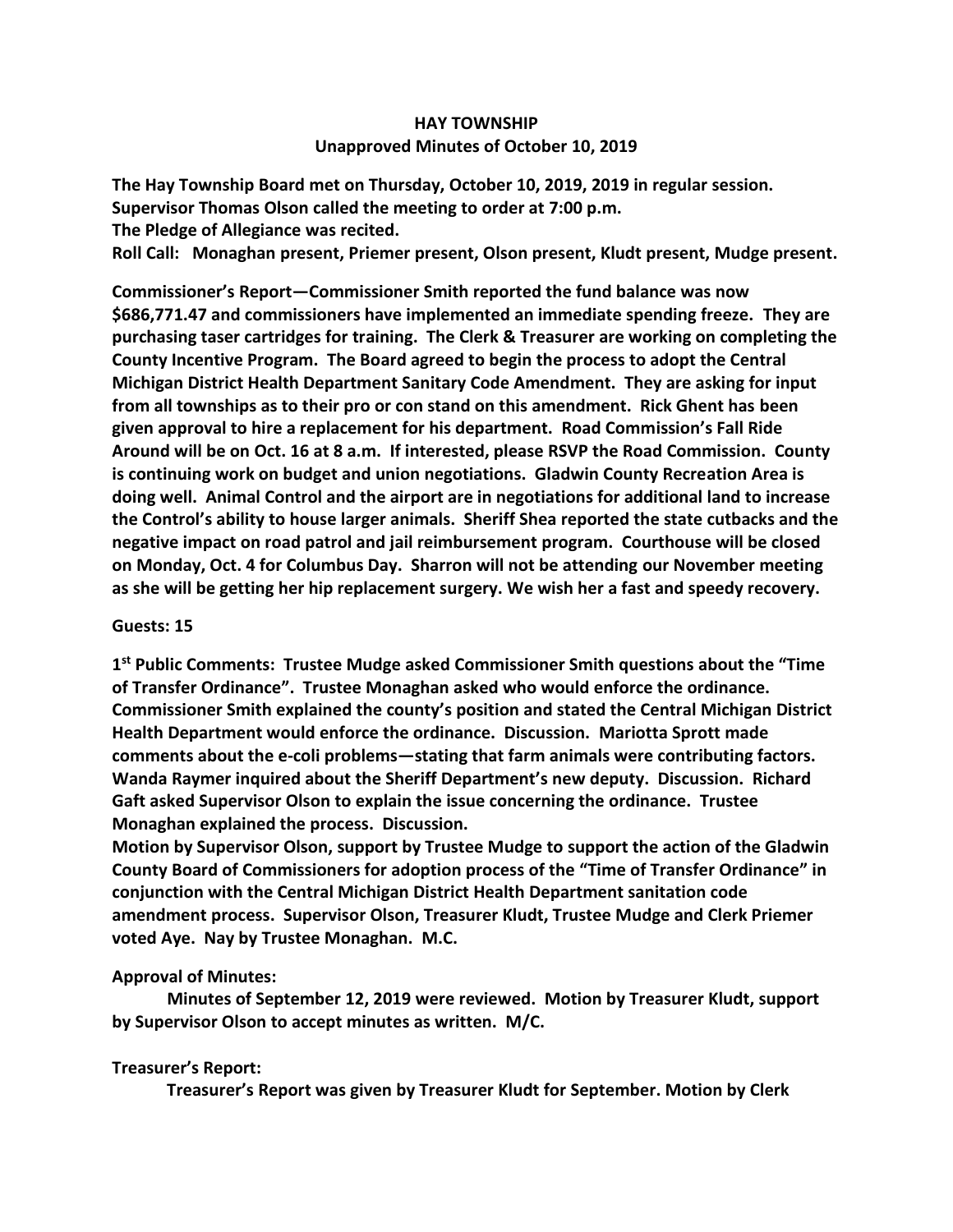## **HAY TOWNSHIP Unapproved Minutes of October 10, 2019**

**The Hay Township Board met on Thursday, October 10, 2019, 2019 in regular session. Supervisor Thomas Olson called the meeting to order at 7:00 p.m. The Pledge of Allegiance was recited. Roll Call: Monaghan present, Priemer present, Olson present, Kludt present, Mudge present.**

**Commissioner's Report—Commissioner Smith reported the fund balance was now \$686,771.47 and commissioners have implemented an immediate spending freeze. They are purchasing taser cartridges for training. The Clerk & Treasurer are working on completing the County Incentive Program. The Board agreed to begin the process to adopt the Central Michigan District Health Department Sanitary Code Amendment. They are asking for input from all townships as to their pro or con stand on this amendment. Rick Ghent has been given approval to hire a replacement for his department. Road Commission's Fall Ride Around will be on Oct. 16 at 8 a.m. If interested, please RSVP the Road Commission. County is continuing work on budget and union negotiations. Gladwin County Recreation Area is doing well. Animal Control and the airport are in negotiations for additional land to increase the Control's ability to house larger animals. Sheriff Shea reported the state cutbacks and the negative impact on road patrol and jail reimbursement program. Courthouse will be closed on Monday, Oct. 4 for Columbus Day. Sharron will not be attending our November meeting as she will be getting her hip replacement surgery. We wish her a fast and speedy recovery.**

## **Guests: 15**

**1 st Public Comments: Trustee Mudge asked Commissioner Smith questions about the "Time of Transfer Ordinance". Trustee Monaghan asked who would enforce the ordinance. Commissioner Smith explained the county's position and stated the Central Michigan District Health Department would enforce the ordinance. Discussion. Mariotta Sprott made comments about the e-coli problems—stating that farm animals were contributing factors. Wanda Raymer inquired about the Sheriff Department's new deputy. Discussion. Richard Gaft asked Supervisor Olson to explain the issue concerning the ordinance. Trustee Monaghan explained the process. Discussion.**

**Motion by Supervisor Olson, support by Trustee Mudge to support the action of the Gladwin County Board of Commissioners for adoption process of the "Time of Transfer Ordinance" in conjunction with the Central Michigan District Health Department sanitation code amendment process. Supervisor Olson, Treasurer Kludt, Trustee Mudge and Clerk Priemer voted Aye. Nay by Trustee Monaghan. M.C.**

## **Approval of Minutes:**

 **Minutes of September 12, 2019 were reviewed. Motion by Treasurer Kludt, support by Supervisor Olson to accept minutes as written. M/C.**

## **Treasurer's Report:**

 **Treasurer's Report was given by Treasurer Kludt for September. Motion by Clerk**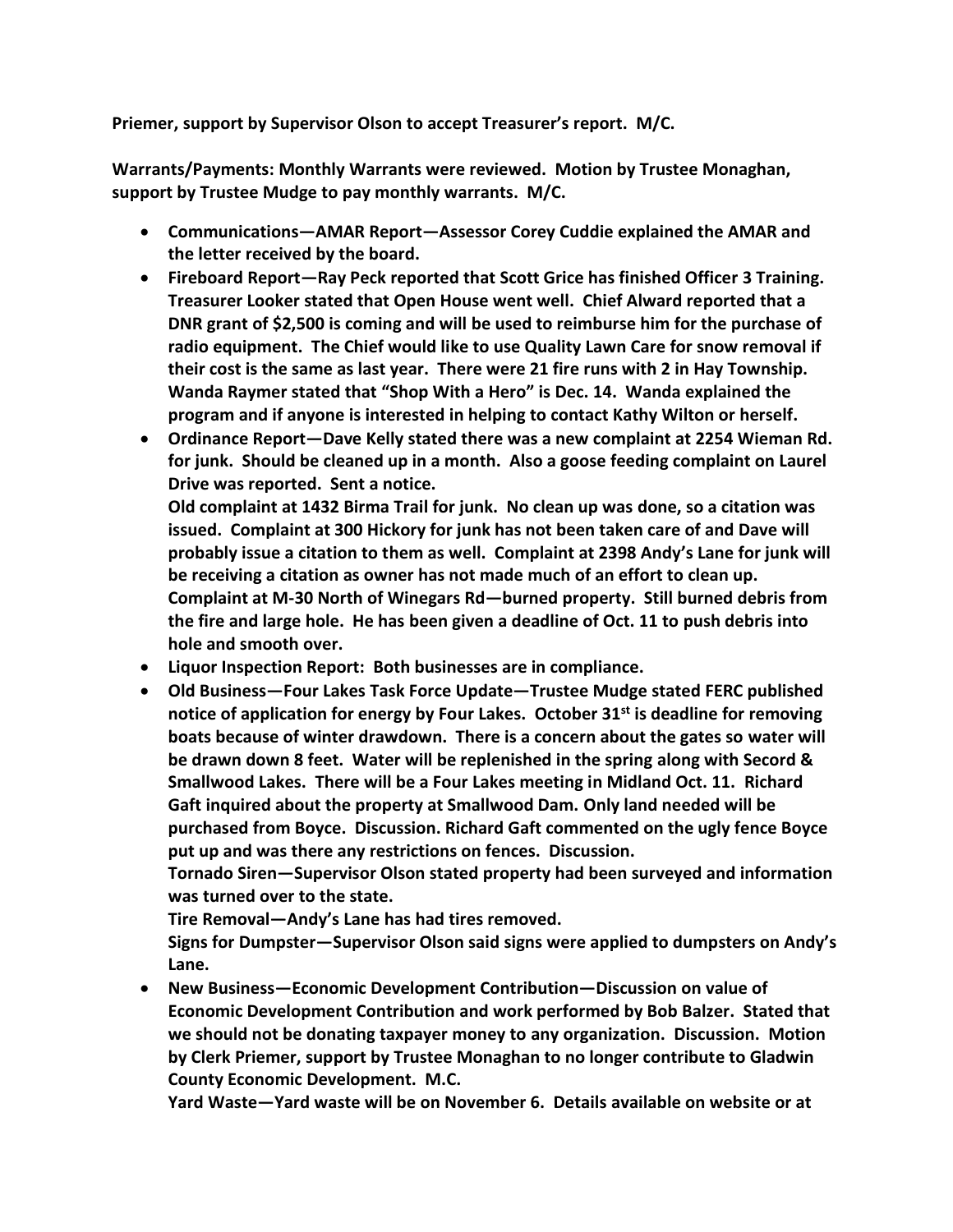**Priemer, support by Supervisor Olson to accept Treasurer's report. M/C.**

**Warrants/Payments: Monthly Warrants were reviewed. Motion by Trustee Monaghan, support by Trustee Mudge to pay monthly warrants. M/C.**

- **Communications—AMAR Report—Assessor Corey Cuddie explained the AMAR and the letter received by the board.**
- **Fireboard Report—Ray Peck reported that Scott Grice has finished Officer 3 Training. Treasurer Looker stated that Open House went well. Chief Alward reported that a DNR grant of \$2,500 is coming and will be used to reimburse him for the purchase of radio equipment. The Chief would like to use Quality Lawn Care for snow removal if their cost is the same as last year. There were 21 fire runs with 2 in Hay Township. Wanda Raymer stated that "Shop With a Hero" is Dec. 14. Wanda explained the program and if anyone is interested in helping to contact Kathy Wilton or herself.**
- **Ordinance Report—Dave Kelly stated there was a new complaint at 2254 Wieman Rd. for junk. Should be cleaned up in a month. Also a goose feeding complaint on Laurel Drive was reported. Sent a notice.**

**Old complaint at 1432 Birma Trail for junk. No clean up was done, so a citation was issued. Complaint at 300 Hickory for junk has not been taken care of and Dave will probably issue a citation to them as well. Complaint at 2398 Andy's Lane for junk will be receiving a citation as owner has not made much of an effort to clean up. Complaint at M-30 North of Winegars Rd—burned property. Still burned debris from the fire and large hole. He has been given a deadline of Oct. 11 to push debris into hole and smooth over.** 

- **Liquor Inspection Report: Both businesses are in compliance.**
- **Old Business—Four Lakes Task Force Update—Trustee Mudge stated FERC published notice of application for energy by Four Lakes. October 31st is deadline for removing boats because of winter drawdown. There is a concern about the gates so water will be drawn down 8 feet. Water will be replenished in the spring along with Secord & Smallwood Lakes. There will be a Four Lakes meeting in Midland Oct. 11. Richard Gaft inquired about the property at Smallwood Dam. Only land needed will be purchased from Boyce. Discussion. Richard Gaft commented on the ugly fence Boyce put up and was there any restrictions on fences. Discussion.**

**Tornado Siren—Supervisor Olson stated property had been surveyed and information was turned over to the state.** 

**Tire Removal—Andy's Lane has had tires removed.**

**Signs for Dumpster—Supervisor Olson said signs were applied to dumpsters on Andy's Lane.**

• **New Business—Economic Development Contribution—Discussion on value of Economic Development Contribution and work performed by Bob Balzer. Stated that we should not be donating taxpayer money to any organization. Discussion. Motion by Clerk Priemer, support by Trustee Monaghan to no longer contribute to Gladwin County Economic Development. M.C.**

**Yard Waste—Yard waste will be on November 6. Details available on website or at**